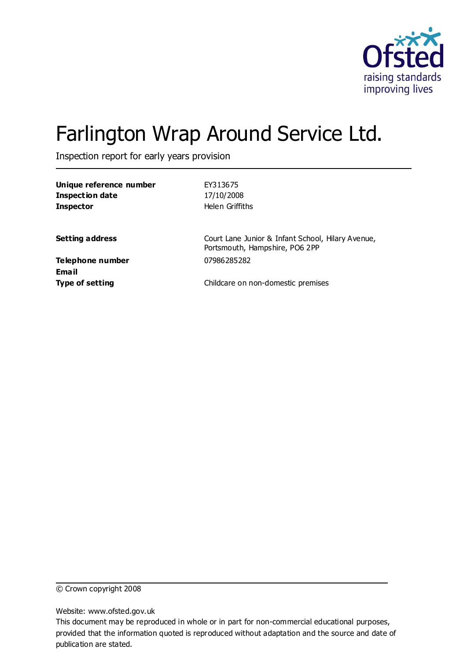

# Farlington Wrap Around Service Ltd.

Inspection report for early years provision

| Unique reference number<br><b>Inspection date</b><br><b>Inspector</b> | EY313675<br>17/10/2008<br>Helen Griffiths                                           |
|-----------------------------------------------------------------------|-------------------------------------------------------------------------------------|
| <b>Setting address</b>                                                | Court Lane Junior & Infant School, Hilary Avenue,<br>Portsmouth, Hampshire, PO6 2PP |
| <b>Telephone number</b><br>Email                                      | 07986285282                                                                         |
| <b>Type of setting</b>                                                | Childcare on non-domestic premises                                                  |

© Crown copyright 2008

Website: www.ofsted.gov.uk

This document may be reproduced in whole or in part for non-commercial educational purposes, provided that the information quoted is reproduced without adaptation and the source and date of publication are stated.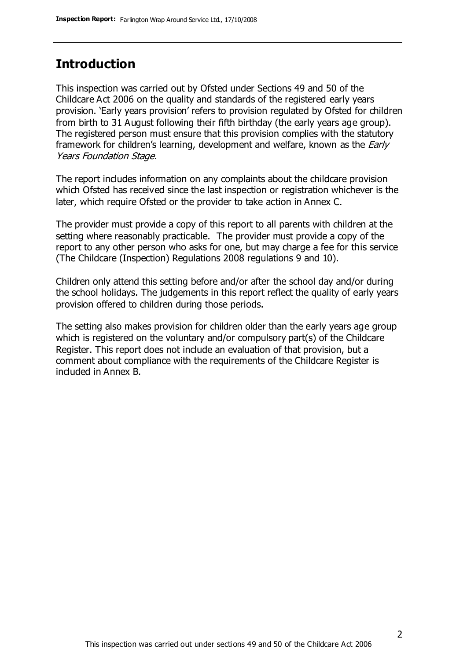### **Introduction**

This inspection was carried out by Ofsted under Sections 49 and 50 of the Childcare Act 2006 on the quality and standards of the registered early years provision. 'Early years provision' refers to provision regulated by Ofsted for children from birth to 31 August following their fifth birthday (the early years age group). The registered person must ensure that this provision complies with the statutory framework for children's learning, development and welfare, known as the *Early* Years Foundation Stage.

The report includes information on any complaints about the childcare provision which Ofsted has received since the last inspection or registration whichever is the later, which require Ofsted or the provider to take action in Annex C.

The provider must provide a copy of this report to all parents with children at the setting where reasonably practicable. The provider must provide a copy of the report to any other person who asks for one, but may charge a fee for this service (The Childcare (Inspection) Regulations 2008 regulations 9 and 10).

Children only attend this setting before and/or after the school day and/or during the school holidays. The judgements in this report reflect the quality of early years provision offered to children during those periods.

The setting also makes provision for children older than the early years age group which is registered on the voluntary and/or compulsory part(s) of the Childcare Register. This report does not include an evaluation of that provision, but a comment about compliance with the requirements of the Childcare Register is included in Annex B.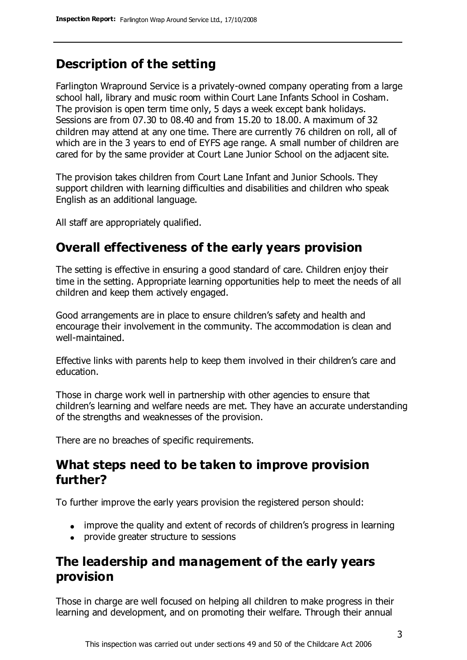# **Description of the setting**

Farlington Wrapround Service is a privately-owned company operating from a large school hall, library and music room within Court Lane Infants School in Cosham. The provision is open term time only, 5 days a week except bank holidays. Sessions are from 07.30 to 08.40 and from 15.20 to 18.00. A maximum of 32 children may attend at any one time. There are currently 76 children on roll, all of which are in the 3 years to end of EYFS age range. A small number of children are cared for by the same provider at Court Lane Junior School on the adjacent site.

The provision takes children from Court Lane Infant and Junior Schools. They support children with learning difficulties and disabilities and children who speak English as an additional language.

All staff are appropriately qualified.

## **Overall effectiveness of the early years provision**

The setting is effective in ensuring a good standard of care. Children enjoy their time in the setting. Appropriate learning opportunities help to meet the needs of all children and keep them actively engaged.

Good arrangements are in place to ensure children's safety and health and encourage their involvement in the community. The accommodation is clean and well-maintained.

Effective links with parents help to keep them involved in their children's care and education.

Those in charge work well in partnership with other agencies to ensure that children's learning and welfare needs are met. They have an accurate understanding of the strengths and weaknesses of the provision.

There are no breaches of specific requirements.

### **What steps need to be taken to improve provision further?**

To further improve the early years provision the registered person should:

- improve the quality and extent of records of children's progress in learning
- provide greater structure to sessions

# **The leadership and management of the early years provision**

Those in charge are well focused on helping all children to make progress in their learning and development, and on promoting their welfare. Through their annual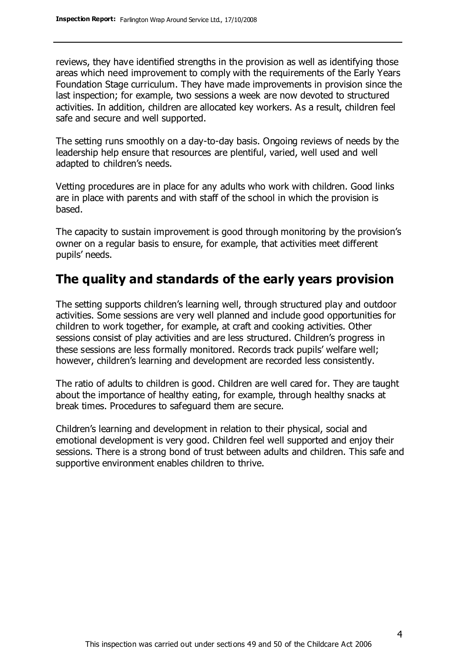reviews, they have identified strengths in the provision as well as identifying those areas which need improvement to comply with the requirements of the Early Years Foundation Stage curriculum. They have made improvements in provision since the last inspection; for example, two sessions a week are now devoted to structured activities. In addition, children are allocated key workers. As a result, children feel safe and secure and well supported.

The setting runs smoothly on a day-to-day basis. Ongoing reviews of needs by the leadership help ensure that resources are plentiful, varied, well used and well adapted to children's needs.

Vetting procedures are in place for any adults who work with children. Good links are in place with parents and with staff of the school in which the provision is based.

The capacity to sustain improvement is good through monitoring by the provision's owner on a regular basis to ensure, for example, that activities meet different pupils' needs.

## **The quality and standards of the early years provision**

The setting supports children's learning well, through structured play and outdoor activities. Some sessions are very well planned and include good opportunities for children to work together, for example, at craft and cooking activities. Other sessions consist of play activities and are less structured. Children's progress in these sessions are less formally monitored. Records track pupils' welfare well; however, children's learning and development are recorded less consistently.

The ratio of adults to children is good. Children are well cared for. They are taught about the importance of healthy eating, for example, through healthy snacks at break times. Procedures to safeguard them are secure.

Children's learning and development in relation to their physical, social and emotional development is very good. Children feel well supported and enjoy their sessions. There is a strong bond of trust between adults and children. This safe and supportive environment enables children to thrive.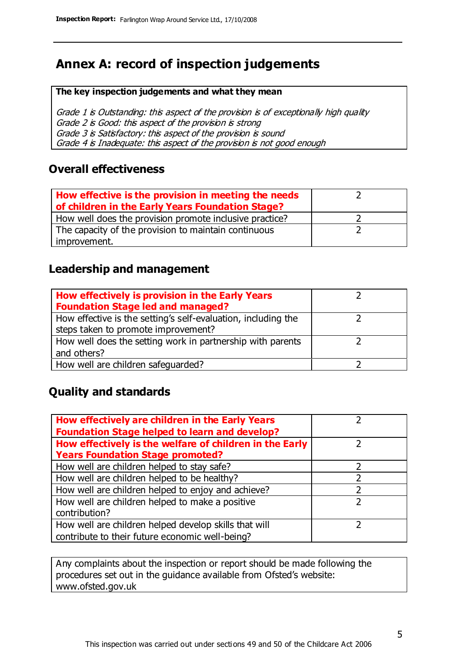# **Annex A: record of inspection judgements**

#### **The key inspection judgements and what they mean**

Grade 1 is Outstanding: this aspect of the provision is of exceptionally high quality Grade 2 is Good: this aspect of the provision is strong Grade 3 is Satisfactory: this aspect of the provision is sound Grade 4 is Inadequate: this aspect of the provision is not good enough

### **Overall effectiveness**

| How effective is the provision in meeting the needs<br>of children in the Early Years Foundation Stage? |  |
|---------------------------------------------------------------------------------------------------------|--|
| How well does the provision promote inclusive practice?                                                 |  |
| The capacity of the provision to maintain continuous                                                    |  |
| improvement.                                                                                            |  |

### **Leadership and management**

| How effectively is provision in the Early Years               |  |
|---------------------------------------------------------------|--|
| <b>Foundation Stage led and managed?</b>                      |  |
| How effective is the setting's self-evaluation, including the |  |
| steps taken to promote improvement?                           |  |
| How well does the setting work in partnership with parents    |  |
| and others?                                                   |  |
| How well are children safeguarded?                            |  |

### **Quality and standards**

| How effectively are children in the Early Years         |   |
|---------------------------------------------------------|---|
| <b>Foundation Stage helped to learn and develop?</b>    |   |
| How effectively is the welfare of children in the Early |   |
| <b>Years Foundation Stage promoted?</b>                 |   |
| How well are children helped to stay safe?              |   |
| How well are children helped to be healthy?             |   |
| How well are children helped to enjoy and achieve?      | 2 |
| How well are children helped to make a positive         |   |
| contribution?                                           |   |
| How well are children helped develop skills that will   |   |
| contribute to their future economic well-being?         |   |

Any complaints about the inspection or report should be made following the procedures set out in the guidance available from Ofsted's website: www.ofsted.gov.uk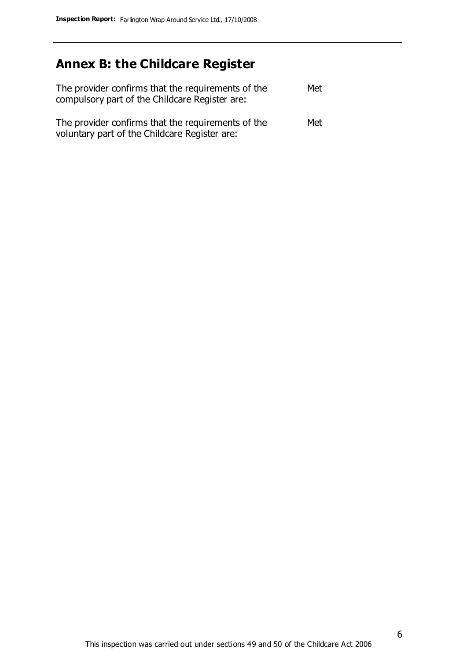# **Annex B: the Childcare Register**

| The provider confirms that the requirements of the<br>compulsory part of the Childcare Register are: | Met |
|------------------------------------------------------------------------------------------------------|-----|
| The provider confirms that the requirements of the<br>voluntary part of the Childcare Register are:  | Met |